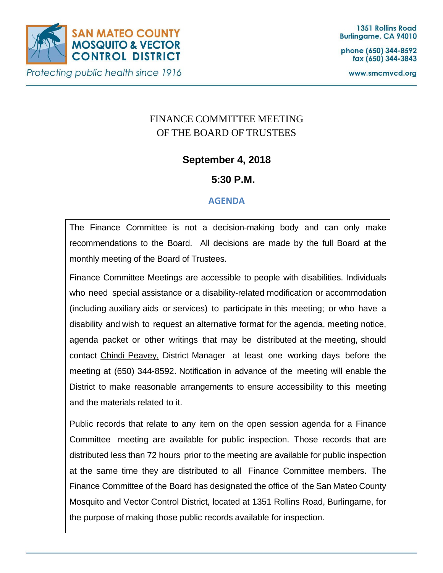

phone (650) 344-8592 fax (650) 344-3843

www.smcmvcd.org

# FINANCE COMMITTEE MEETING OF THE BOARD OF TRUSTEES

## **September 4, 2018**

## **5:30 P.M.**

### **AGENDA**

The Finance Committee is not a decision-making body and can only make recommendations to the Board. All decisions are made by the full Board at the monthly meeting of the Board of Trustees.

Finance Committee Meetings are accessible to people with disabilities. Individuals who need special assistance or a disability-related modification or accommodation (including auxiliary aids or services) to participate in this meeting; or who have a disability and wish to request an alternative format for the agenda, meeting notice, agenda packet or other writings that may be distributed at the meeting, should contact Chindi Peavey, District Manager at least one working days before the meeting at (650) 344-8592. Notification in advance of the meeting will enable the District to make reasonable arrangements to ensure accessibility to this meeting and the materials related to it.

Public records that relate to any item on the open session agenda for a Finance Committee meeting are available for public inspection. Those records that are distributed less than 72 hours prior to the meeting are available for public inspection at the same time they are distributed to all Finance Committee members. The Finance Committee of the Board has designated the office of the San Mateo County Mosquito and Vector Control District, located at 1351 Rollins Road, Burlingame, for the purpose of making those public records available for inspection.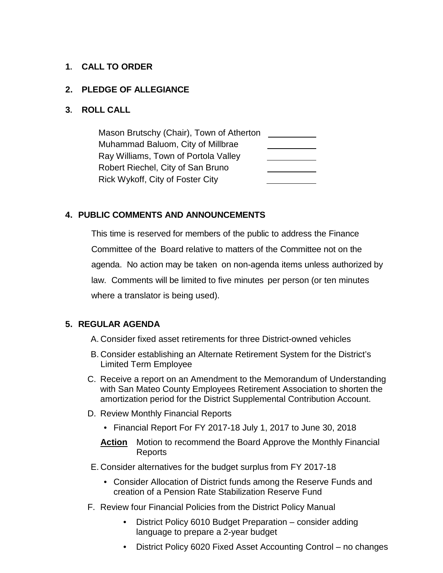#### **1. CALL TO ORDER**

#### **2. PLEDGE OF ALLEGIANCE**

#### **3. ROLL CALL**

Mason Brutschy (Chair), Town of Atherton Muhammad Baluom, City of Millbrae Ray Williams, Town of Portola Valley Robert Riechel, City of San Bruno Rick Wykoff, City of Foster City

#### **4. PUBLIC COMMENTS AND ANNOUNCEMENTS**

This time is reserved for members of the public to address the Finance Committee of the Board relative to matters of the Committee not on the agenda. No action may be taken on non-agenda items unless authorized by law. Comments will be limited to five minutes per person (or ten minutes where a translator is being used).

#### **5. REGULAR AGENDA**

- A. Consider fixed asset retirements for three District-owned vehicles
- B. Consider establishing an Alternate Retirement System for the District's Limited Term Employee
- C. Receive a report on an Amendment to the Memorandum of Understanding with San Mateo County Employees Retirement Association to shorten the amortization period for the District Supplemental Contribution Account.
- D. Review Monthly Financial Reports
	- Financial Report For FY 2017-18 July 1, 2017 to June 30, 2018
	- **Action** Motion to recommend the Board Approve the Monthly Financial Reports
- E. Consider alternatives for the budget surplus from FY 2017-18
	- Consider Allocation of District funds among the Reserve Funds and creation of a Pension Rate Stabilization Reserve Fund
- F. Review four Financial Policies from the District Policy Manual
	- District Policy 6010 Budget Preparation consider adding language to prepare a 2-year budget
	- District Policy 6020 Fixed Asset Accounting Control no changes